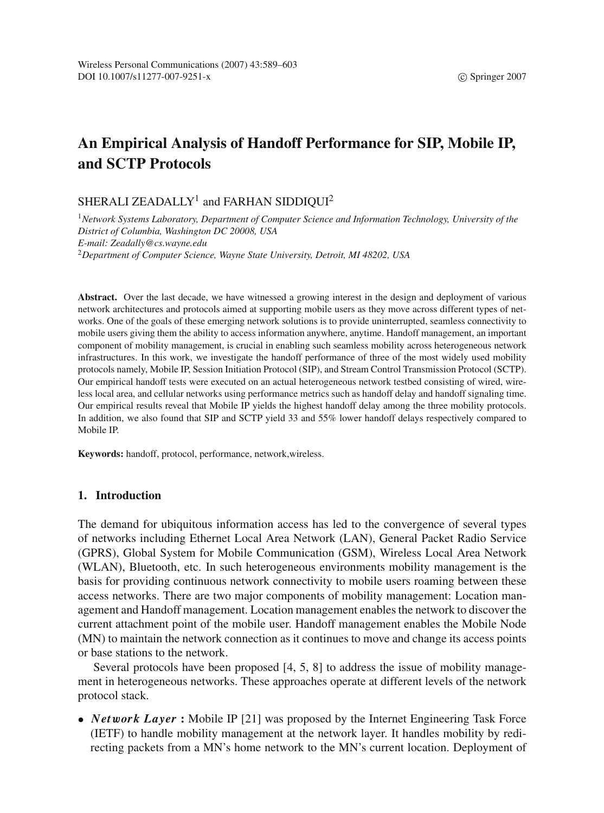# **An Empirical Analysis of Handoff Performance for SIP, Mobile IP, and SCTP Protocols**

# SHERALI ZEADALLY<sup>1</sup> and FARHAN SIDDIQUI<sup>2</sup>

<sup>1</sup>*Network Systems Laboratory, Department of Computer Science and Information Technology, University of the District of Columbia, Washington DC 20008, USA E-mail: Zeadally@cs.wayne.edu* <sup>2</sup>*Department of Computer Science, Wayne State University, Detroit, MI 48202, USA*

**Abstract.** Over the last decade, we have witnessed a growing interest in the design and deployment of various network architectures and protocols aimed at supporting mobile users as they move across different types of networks. One of the goals of these emerging network solutions is to provide uninterrupted, seamless connectivity to mobile users giving them the ability to access information anywhere, anytime. Handoff management, an important component of mobility management, is crucial in enabling such seamless mobility across heterogeneous network infrastructures. In this work, we investigate the handoff performance of three of the most widely used mobility protocols namely, Mobile IP, Session Initiation Protocol (SIP), and Stream Control Transmission Protocol (SCTP). Our empirical handoff tests were executed on an actual heterogeneous network testbed consisting of wired, wireless local area, and cellular networks using performance metrics such as handoff delay and handoff signaling time. Our empirical results reveal that Mobile IP yields the highest handoff delay among the three mobility protocols. In addition, we also found that SIP and SCTP yield 33 and 55% lower handoff delays respectively compared to Mobile IP.

**Keywords:** handoff, protocol, performance, network,wireless.

# **1. Introduction**

The demand for ubiquitous information access has led to the convergence of several types of networks including Ethernet Local Area Network (LAN), General Packet Radio Service (GPRS), Global System for Mobile Communication (GSM), Wireless Local Area Network (WLAN), Bluetooth, etc. In such heterogeneous environments mobility management is the basis for providing continuous network connectivity to mobile users roaming between these access networks. There are two major components of mobility management: Location management and Handoff management. Location management enables the network to discover the current attachment point of the mobile user. Handoff management enables the Mobile Node (MN) to maintain the network connection as it continues to move and change its access points or base stations to the network.

Several protocols have been proposed [4, 5, 8] to address the issue of mobility management in heterogeneous networks. These approaches operate at different levels of the network protocol stack.

• *Network Layer* : Mobile IP [21] was proposed by the Internet Engineering Task Force (IETF) to handle mobility management at the network layer. It handles mobility by redirecting packets from a MN's home network to the MN's current location. Deployment of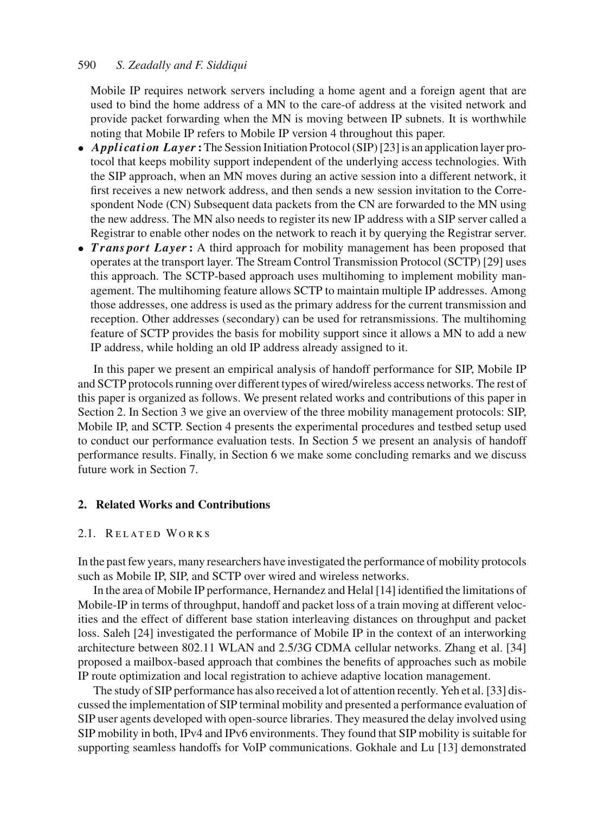# 590 *S. Zeadally and F. Siddiqui*

Mobile IP requires network servers including a home agent and a foreign agent that are used to bind the home address of a MN to the care-of address at the visited network and provide packet forwarding when the MN is moving between IP subnets. It is worthwhile noting that Mobile IP refers to Mobile IP version 4 throughout this paper.

- *Application Layer*: The Session Initiation Protocol (SIP) [23] is an application layer protocol that keeps mobility support independent of the underlying access technologies. With the SIP approach, when an MN moves during an active session into a different network, it first receives a new network address, and then sends a new session invitation to the Correspondent Node (CN) Subsequent data packets from the CN are forwarded to the MN using the new address. The MN also needs to register its new IP address with a SIP server called a Registrar to enable other nodes on the network to reach it by querying the Registrar server.
- *Transport Layer*: A third approach for mobility management has been proposed that operates at the transport layer. The Stream Control Transmission Protocol (SCTP) [29] uses this approach. The SCTP-based approach uses multihoming to implement mobility management. The multihoming feature allows SCTP to maintain multiple IP addresses. Among those addresses, one address is used as the primary address for the current transmission and reception. Other addresses (secondary) can be used for retransmissions. The multihoming feature of SCTP provides the basis for mobility support since it allows a MN to add a new IP address, while holding an old IP address already assigned to it.

In this paper we present an empirical analysis of handoff performance for SIP, Mobile IP and SCTP protocols running over different types of wired/wireless access networks. The rest of this paper is organized as follows. We present related works and contributions of this paper in Section 2. In Section 3 we give an overview of the three mobility management protocols: SIP, Mobile IP, and SCTP. Section 4 presents the experimental procedures and testbed setup used to conduct our performance evaluation tests. In Section 5 we present an analysis of handoff performance results. Finally, in Section 6 we make some concluding remarks and we discuss future work in Section 7.

# **2. Related Works and Contributions**

#### 2.1. Related Works

In the past few years, many researchers have investigated the performance of mobility protocols such as Mobile IP, SIP, and SCTP over wired and wireless networks.

In the area of Mobile IP performance, Hernandez and Helal [14] identified the limitations of Mobile-IP in terms of throughput, handoff and packet loss of a train moving at different velocities and the effect of different base station interleaving distances on throughput and packet loss. Saleh [24] investigated the performance of Mobile IP in the context of an interworking architecture between 802.11 WLAN and 2.5/3G CDMA cellular networks. Zhang et al. [34] proposed a mailbox-based approach that combines the benefits of approaches such as mobile IP route optimization and local registration to achieve adaptive location management.

The study of SIP performance has also received a lot of attention recently. Yeh et al. [33] discussed the implementation of SIP terminal mobility and presented a performance evaluation of SIP user agents developed with open-source libraries. They measured the delay involved using SIP mobility in both, IPv4 and IPv6 environments. They found that SIP mobility is suitable for supporting seamless handoffs for VoIP communications. Gokhale and Lu [13] demonstrated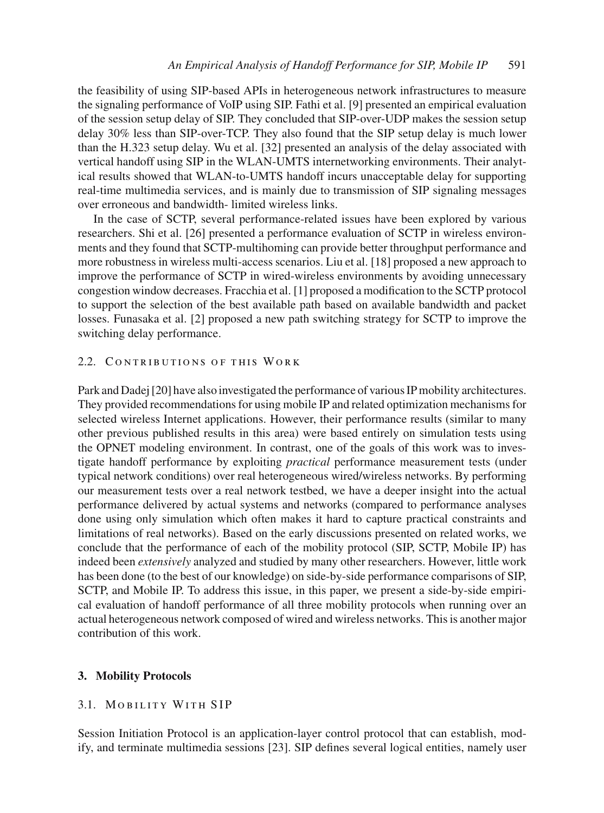the feasibility of using SIP-based APIs in heterogeneous network infrastructures to measure the signaling performance of VoIP using SIP. Fathi et al. [9] presented an empirical evaluation of the session setup delay of SIP. They concluded that SIP-over-UDP makes the session setup delay 30% less than SIP-over-TCP. They also found that the SIP setup delay is much lower than the H.323 setup delay. Wu et al. [32] presented an analysis of the delay associated with vertical handoff using SIP in the WLAN-UMTS internetworking environments. Their analytical results showed that WLAN-to-UMTS handoff incurs unacceptable delay for supporting real-time multimedia services, and is mainly due to transmission of SIP signaling messages over erroneous and bandwidth- limited wireless links.

In the case of SCTP, several performance-related issues have been explored by various researchers. Shi et al. [26] presented a performance evaluation of SCTP in wireless environments and they found that SCTP-multihoming can provide better throughput performance and more robustness in wireless multi-access scenarios. Liu et al. [18] proposed a new approach to improve the performance of SCTP in wired-wireless environments by avoiding unnecessary congestion window decreases. Fracchia et al. [1] proposed a modification to the SCTP protocol to support the selection of the best available path based on available bandwidth and packet losses. Funasaka et al. [2] proposed a new path switching strategy for SCTP to improve the switching delay performance.

# 2.2. CONTRIBUTIONS OF THIS WORK

Park and Dadej [20] have also investigated the performance of various IP mobility architectures. They provided recommendations for using mobile IP and related optimization mechanisms for selected wireless Internet applications. However, their performance results (similar to many other previous published results in this area) were based entirely on simulation tests using the OPNET modeling environment. In contrast, one of the goals of this work was to investigate handoff performance by exploiting *practical* performance measurement tests (under typical network conditions) over real heterogeneous wired/wireless networks. By performing our measurement tests over a real network testbed, we have a deeper insight into the actual performance delivered by actual systems and networks (compared to performance analyses done using only simulation which often makes it hard to capture practical constraints and limitations of real networks). Based on the early discussions presented on related works, we conclude that the performance of each of the mobility protocol (SIP, SCTP, Mobile IP) has indeed been *extensively* analyzed and studied by many other researchers. However, little work has been done (to the best of our knowledge) on side-by-side performance comparisons of SIP, SCTP, and Mobile IP. To address this issue, in this paper, we present a side-by-side empirical evaluation of handoff performance of all three mobility protocols when running over an actual heterogeneous network composed of wired and wireless networks. This is another major contribution of this work.

# **3. Mobility Protocols**

#### 3.1. Mobility With SIP

Session Initiation Protocol is an application-layer control protocol that can establish, modify, and terminate multimedia sessions [23]. SIP defines several logical entities, namely user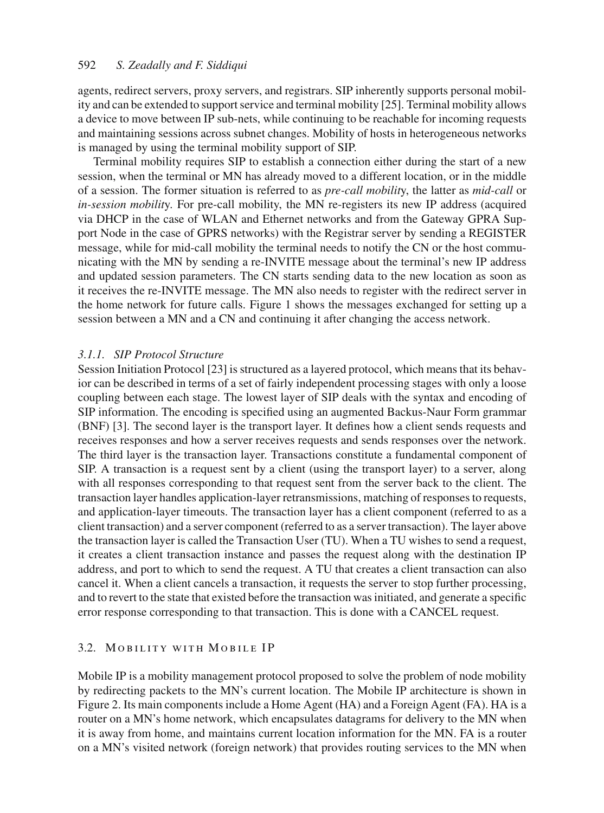# 592 *S. Zeadally and F. Siddiqui*

agents, redirect servers, proxy servers, and registrars. SIP inherently supports personal mobility and can be extended to support service and terminal mobility [25]. Terminal mobility allows a device to move between IP sub-nets, while continuing to be reachable for incoming requests and maintaining sessions across subnet changes. Mobility of hosts in heterogeneous networks is managed by using the terminal mobility support of SIP.

Terminal mobility requires SIP to establish a connection either during the start of a new session, when the terminal or MN has already moved to a different location, or in the middle of a session. The former situation is referred to as *pre-call mobilit*y, the latter as *mid-call* or *in-session mobilit*y. For pre-call mobility, the MN re-registers its new IP address (acquired via DHCP in the case of WLAN and Ethernet networks and from the Gateway GPRA Support Node in the case of GPRS networks) with the Registrar server by sending a REGISTER message, while for mid-call mobility the terminal needs to notify the CN or the host communicating with the MN by sending a re-INVITE message about the terminal's new IP address and updated session parameters. The CN starts sending data to the new location as soon as it receives the re-INVITE message. The MN also needs to register with the redirect server in the home network for future calls. Figure 1 shows the messages exchanged for setting up a session between a MN and a CN and continuing it after changing the access network.

# *3.1.1. SIP Protocol Structure*

Session Initiation Protocol [23] is structured as a layered protocol, which means that its behavior can be described in terms of a set of fairly independent processing stages with only a loose coupling between each stage. The lowest layer of SIP deals with the syntax and encoding of SIP information. The encoding is specified using an augmented Backus-Naur Form grammar (BNF) [3]. The second layer is the transport layer. It defines how a client sends requests and receives responses and how a server receives requests and sends responses over the network. The third layer is the transaction layer. Transactions constitute a fundamental component of SIP. A transaction is a request sent by a client (using the transport layer) to a server, along with all responses corresponding to that request sent from the server back to the client. The transaction layer handles application-layer retransmissions, matching of responses to requests, and application-layer timeouts. The transaction layer has a client component (referred to as a client transaction) and a server component (referred to as a server transaction). The layer above the transaction layer is called the Transaction User (TU). When a TU wishes to send a request, it creates a client transaction instance and passes the request along with the destination IP address, and port to which to send the request. A TU that creates a client transaction can also cancel it. When a client cancels a transaction, it requests the server to stop further processing, and to revert to the state that existed before the transaction was initiated, and generate a specific error response corresponding to that transaction. This is done with a CANCEL request.

# 3.2. Mobility with Mobile IP

Mobile IP is a mobility management protocol proposed to solve the problem of node mobility by redirecting packets to the MN's current location. The Mobile IP architecture is shown in Figure 2. Its main components include a Home Agent (HA) and a Foreign Agent (FA). HA is a router on a MN's home network, which encapsulates datagrams for delivery to the MN when it is away from home, and maintains current location information for the MN. FA is a router on a MN's visited network (foreign network) that provides routing services to the MN when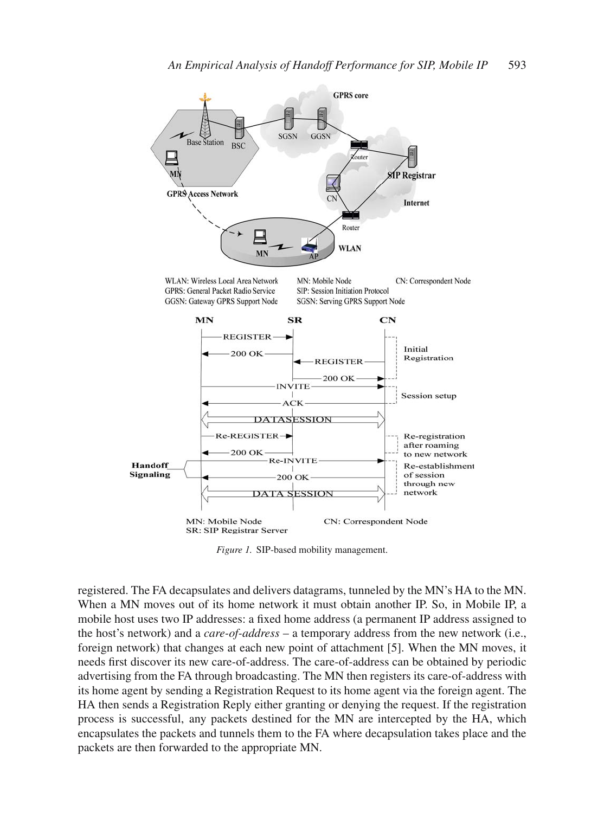

*Figure 1.* SIP-based mobility management.

registered. The FA decapsulates and delivers datagrams, tunneled by the MN's HA to the MN. When a MN moves out of its home network it must obtain another IP. So, in Mobile IP, a mobile host uses two IP addresses: a fixed home address (a permanent IP address assigned to the host's network) and a *care-of-address* – a temporary address from the new network (i.e., foreign network) that changes at each new point of attachment [5]. When the MN moves, it needs first discover its new care-of-address. The care-of-address can be obtained by periodic advertising from the FA through broadcasting. The MN then registers its care-of-address with its home agent by sending a Registration Request to its home agent via the foreign agent. The HA then sends a Registration Reply either granting or denying the request. If the registration process is successful, any packets destined for the MN are intercepted by the HA, which encapsulates the packets and tunnels them to the FA where decapsulation takes place and the packets are then forwarded to the appropriate MN.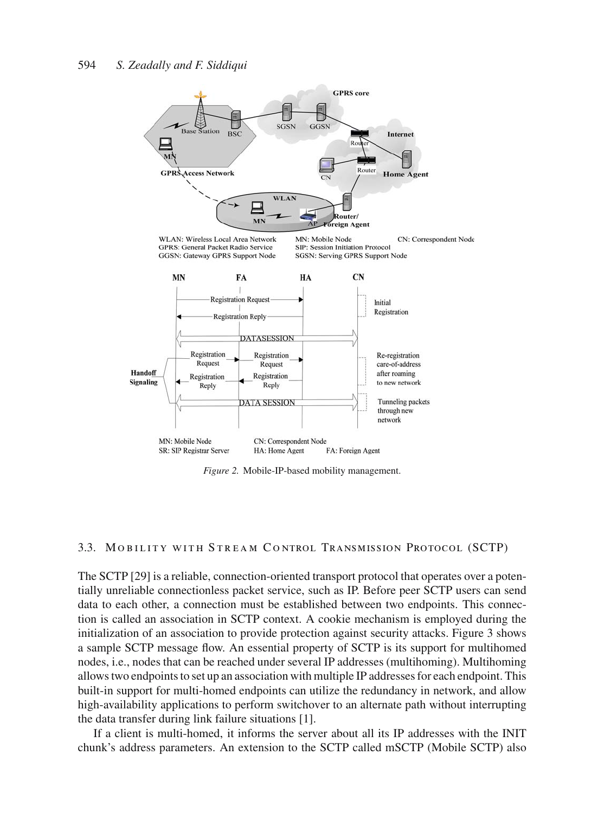

*Figure 2.* Mobile-IP-based mobility management.

#### 3.3. MOBILITY WITH STREAM CONTROL TRANSMISSION PROTOCOL (SCTP)

The SCTP [29] is a reliable, connection-oriented transport protocol that operates over a potentially unreliable connectionless packet service, such as IP. Before peer SCTP users can send data to each other, a connection must be established between two endpoints. This connection is called an association in SCTP context. A cookie mechanism is employed during the initialization of an association to provide protection against security attacks. Figure 3 shows a sample SCTP message flow. An essential property of SCTP is its support for multihomed nodes, i.e., nodes that can be reached under several IP addresses (multihoming). Multihoming allows two endpoints to set up an association with multiple IP addresses for each endpoint. This built-in support for multi-homed endpoints can utilize the redundancy in network, and allow high-availability applications to perform switchover to an alternate path without interrupting the data transfer during link failure situations [1].

If a client is multi-homed, it informs the server about all its IP addresses with the INIT chunk's address parameters. An extension to the SCTP called mSCTP (Mobile SCTP) also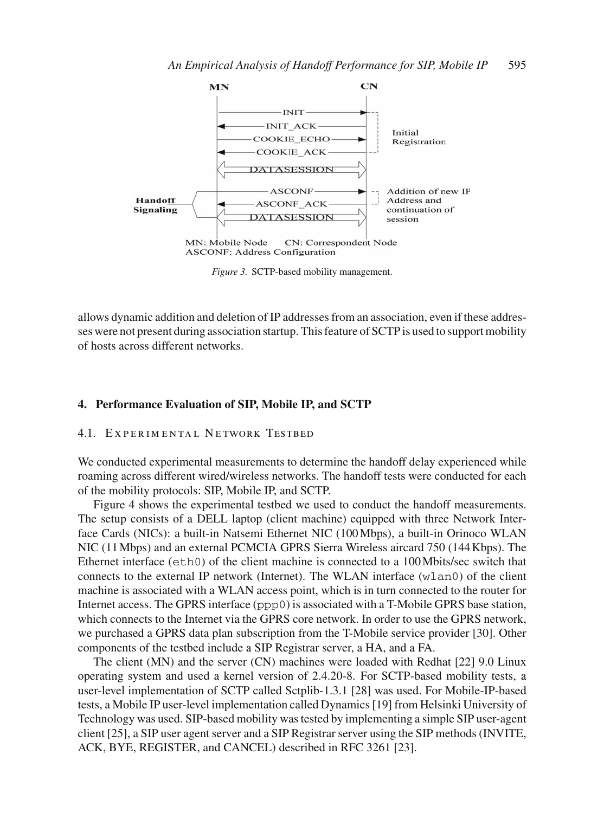

*Figure 3.* SCTP-based mobility management.

allows dynamic addition and deletion of IP addresses from an association, even if these addresses were not present during association startup. This feature of SCTP is used to support mobility of hosts across different networks.

#### **4. Performance Evaluation of SIP, Mobile IP, and SCTP**

#### 4.1. EXPERIMENTAL NETWORK TESTBED

We conducted experimental measurements to determine the handoff delay experienced while roaming across different wired/wireless networks. The handoff tests were conducted for each of the mobility protocols: SIP, Mobile IP, and SCTP.

Figure 4 shows the experimental testbed we used to conduct the handoff measurements. The setup consists of a DELL laptop (client machine) equipped with three Network Interface Cards (NICs): a built-in Natsemi Ethernet NIC (100 Mbps), a built-in Orinoco WLAN NIC (11 Mbps) and an external PCMCIA GPRS Sierra Wireless aircard 750 (144 Kbps). The Ethernet interface (eth0) of the client machine is connected to a 100 Mbits/sec switch that connects to the external IP network (Internet). The WLAN interface  $(wlan0)$  of the client machine is associated with a WLAN access point, which is in turn connected to the router for Internet access. The GPRS interface (ppp0) is associated with a T-Mobile GPRS base station, which connects to the Internet via the GPRS core network. In order to use the GPRS network, we purchased a GPRS data plan subscription from the T-Mobile service provider [30]. Other components of the testbed include a SIP Registrar server, a HA, and a FA.

The client (MN) and the server (CN) machines were loaded with Redhat [22] 9.0 Linux operating system and used a kernel version of 2.4.20-8. For SCTP-based mobility tests, a user-level implementation of SCTP called Sctplib-1.3.1 [28] was used. For Mobile-IP-based tests, a Mobile IP user-level implementation called Dynamics [19] from Helsinki University of Technology was used. SIP-based mobility was tested by implementing a simple SIP user-agent client [25], a SIP user agent server and a SIP Registrar server using the SIP methods (INVITE, ACK, BYE, REGISTER, and CANCEL) described in RFC 3261 [23].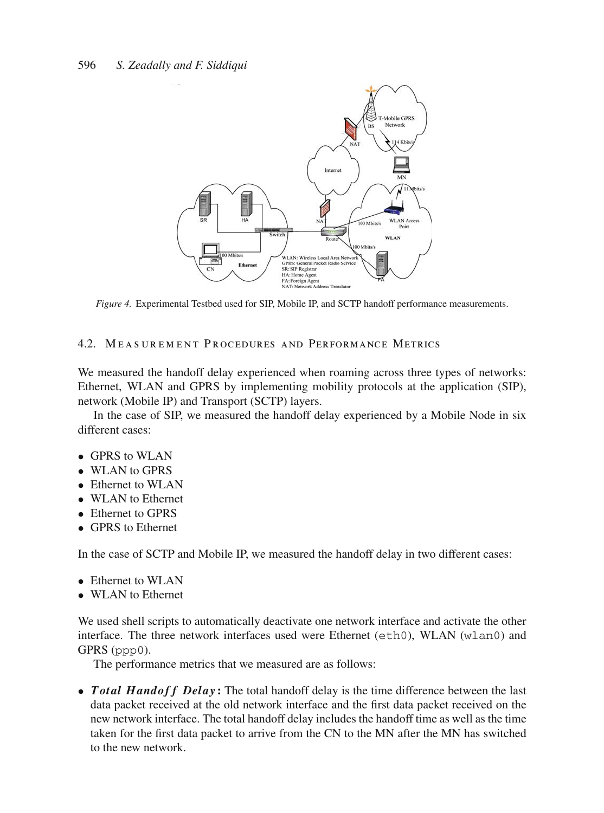

*Figure 4.* Experimental Testbed used for SIP, Mobile IP, and SCTP handoff performance measurements.

# 4.2. MEASUREMENT PROCEDURES AND PERFORMANCE METRICS

We measured the handoff delay experienced when roaming across three types of networks: Ethernet, WLAN and GPRS by implementing mobility protocols at the application (SIP), network (Mobile IP) and Transport (SCTP) layers.

In the case of SIP, we measured the handoff delay experienced by a Mobile Node in six different cases:

- GPRS to WLAN
- WLAN to GPRS
- Ethernet to WLAN
- WLAN to Ethernet
- Ethernet to GPRS
- GPRS to Ethernet

In the case of SCTP and Mobile IP, we measured the handoff delay in two different cases:

- Ethernet to WLAN
- WLAN to Ethernet

We used shell scripts to automatically deactivate one network interface and activate the other interface. The three network interfaces used were Ethernet (eth0), WLAN (wlan0) and GPRS (ppp0).

The performance metrics that we measured are as follows:

• **Total Handoff Delay**: The total handoff delay is the time difference between the last data packet received at the old network interface and the first data packet received on the new network interface. The total handoff delay includes the handoff time as well as the time taken for the first data packet to arrive from the CN to the MN after the MN has switched to the new network.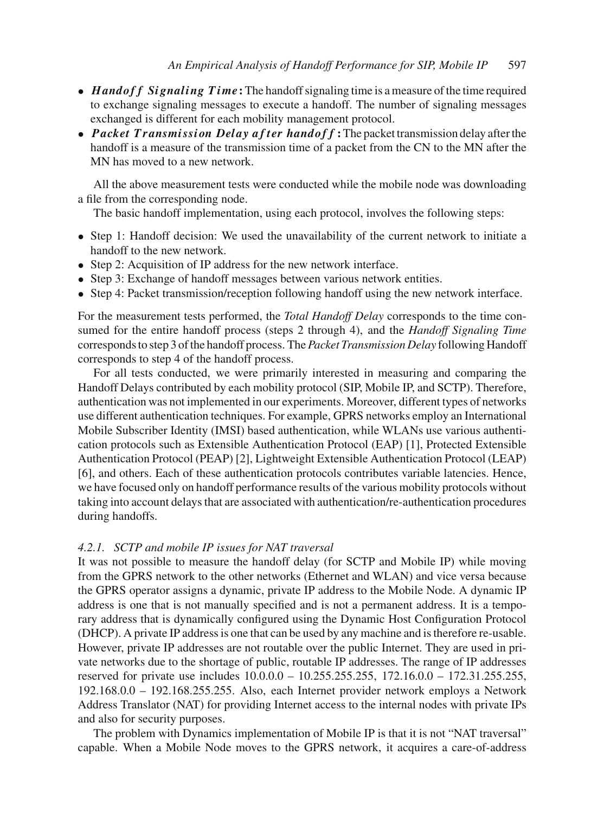- *Handoff Signaling Time*: The handoff signaling time is a measure of the time required to exchange signaling messages to execute a handoff. The number of signaling messages exchanged is different for each mobility management protocol.
- *Packet T ransmi ssion Delay a f ter handof f* **:**The packet transmission delay after the handoff is a measure of the transmission time of a packet from the CN to the MN after the MN has moved to a new network.

All the above measurement tests were conducted while the mobile node was downloading a file from the corresponding node.

The basic handoff implementation, using each protocol, involves the following steps:

- Step 1: Handoff decision: We used the unavailability of the current network to initiate a handoff to the new network.
- Step 2: Acquisition of IP address for the new network interface.
- Step 3: Exchange of handoff messages between various network entities.
- Step 4: Packet transmission/reception following handoff using the new network interface.

For the measurement tests performed, the *Total Handoff Delay* corresponds to the time consumed for the entire handoff process (steps 2 through 4), and the *Handoff Signaling Time* corresponds to step 3 of the handoff process. The*Packet Transmission Delay* following Handoff corresponds to step 4 of the handoff process.

For all tests conducted, we were primarily interested in measuring and comparing the Handoff Delays contributed by each mobility protocol (SIP, Mobile IP, and SCTP). Therefore, authentication was not implemented in our experiments. Moreover, different types of networks use different authentication techniques. For example, GPRS networks employ an International Mobile Subscriber Identity (IMSI) based authentication, while WLANs use various authentication protocols such as Extensible Authentication Protocol (EAP) [1], Protected Extensible Authentication Protocol (PEAP) [2], Lightweight Extensible Authentication Protocol (LEAP) [6], and others. Each of these authentication protocols contributes variable latencies. Hence, we have focused only on handoff performance results of the various mobility protocols without taking into account delays that are associated with authentication/re-authentication procedures during handoffs.

#### *4.2.1. SCTP and mobile IP issues for NAT traversal*

It was not possible to measure the handoff delay (for SCTP and Mobile IP) while moving from the GPRS network to the other networks (Ethernet and WLAN) and vice versa because the GPRS operator assigns a dynamic, private IP address to the Mobile Node. A dynamic IP address is one that is not manually specified and is not a permanent address. It is a temporary address that is dynamically configured using the Dynamic Host Configuration Protocol (DHCP). A private IP address is one that can be used by any machine and is therefore re-usable. However, private IP addresses are not routable over the public Internet. They are used in private networks due to the shortage of public, routable IP addresses. The range of IP addresses reserved for private use includes 10.0.0.0 – 10.255.255.255, 172.16.0.0 – 172.31.255.255, 192.168.0.0 – 192.168.255.255. Also, each Internet provider network employs a Network Address Translator (NAT) for providing Internet access to the internal nodes with private IPs and also for security purposes.

The problem with Dynamics implementation of Mobile IP is that it is not "NAT traversal" capable. When a Mobile Node moves to the GPRS network, it acquires a care-of-address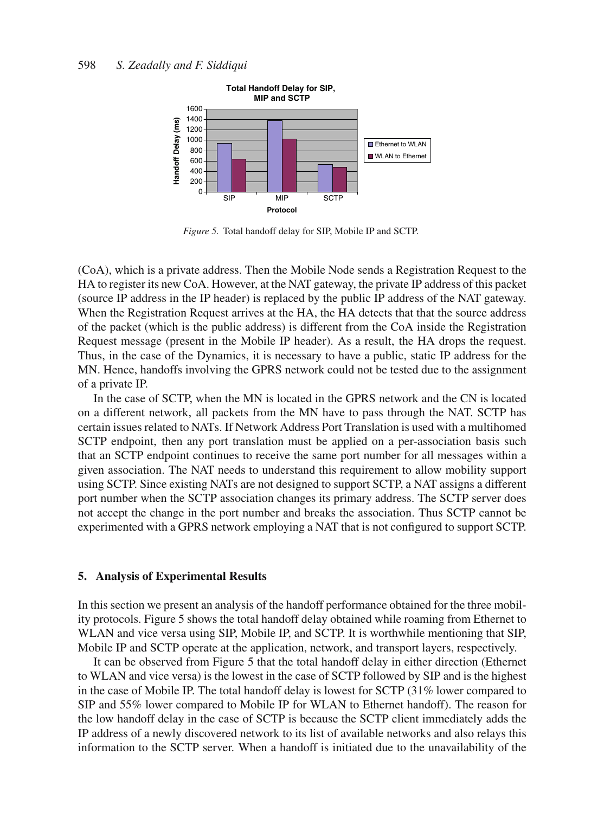

*Figure 5.* Total handoff delay for SIP, Mobile IP and SCTP.

(CoA), which is a private address. Then the Mobile Node sends a Registration Request to the HA to register its new CoA. However, at the NAT gateway, the private IP address of this packet (source IP address in the IP header) is replaced by the public IP address of the NAT gateway. When the Registration Request arrives at the HA, the HA detects that that the source address of the packet (which is the public address) is different from the CoA inside the Registration Request message (present in the Mobile IP header). As a result, the HA drops the request. Thus, in the case of the Dynamics, it is necessary to have a public, static IP address for the MN. Hence, handoffs involving the GPRS network could not be tested due to the assignment of a private IP.

In the case of SCTP, when the MN is located in the GPRS network and the CN is located on a different network, all packets from the MN have to pass through the NAT. SCTP has certain issues related to NATs. If Network Address Port Translation is used with a multihomed SCTP endpoint, then any port translation must be applied on a per-association basis such that an SCTP endpoint continues to receive the same port number for all messages within a given association. The NAT needs to understand this requirement to allow mobility support using SCTP. Since existing NATs are not designed to support SCTP, a NAT assigns a different port number when the SCTP association changes its primary address. The SCTP server does not accept the change in the port number and breaks the association. Thus SCTP cannot be experimented with a GPRS network employing a NAT that is not configured to support SCTP.

### **5. Analysis of Experimental Results**

In this section we present an analysis of the handoff performance obtained for the three mobility protocols. Figure 5 shows the total handoff delay obtained while roaming from Ethernet to WLAN and vice versa using SIP, Mobile IP, and SCTP. It is worthwhile mentioning that SIP, Mobile IP and SCTP operate at the application, network, and transport layers, respectively.

It can be observed from Figure 5 that the total handoff delay in either direction (Ethernet to WLAN and vice versa) is the lowest in the case of SCTP followed by SIP and is the highest in the case of Mobile IP. The total handoff delay is lowest for SCTP (31% lower compared to SIP and 55% lower compared to Mobile IP for WLAN to Ethernet handoff). The reason for the low handoff delay in the case of SCTP is because the SCTP client immediately adds the IP address of a newly discovered network to its list of available networks and also relays this information to the SCTP server. When a handoff is initiated due to the unavailability of the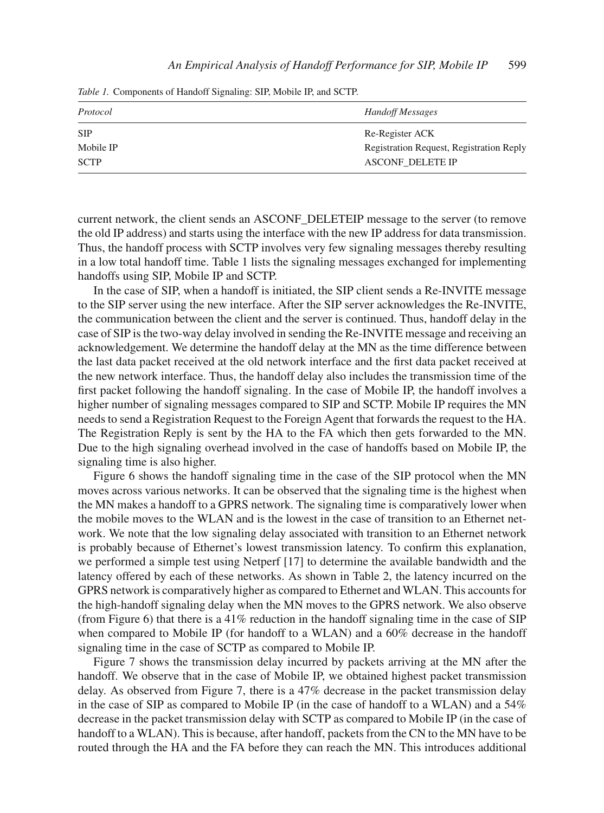| Protocol                | <b>Handoff Messages</b>                                     |
|-------------------------|-------------------------------------------------------------|
| <b>SIP</b><br>Mobile IP | Re-Register ACK<br>Registration Request, Registration Reply |
| <b>SCTP</b>             | <b>ASCONF DELETE IP</b>                                     |

*Table 1.* Components of Handoff Signaling: SIP, Mobile IP, and SCTP.

current network, the client sends an ASCONF\_DELETEIP message to the server (to remove the old IP address) and starts using the interface with the new IP address for data transmission. Thus, the handoff process with SCTP involves very few signaling messages thereby resulting in a low total handoff time. Table 1 lists the signaling messages exchanged for implementing handoffs using SIP, Mobile IP and SCTP.

In the case of SIP, when a handoff is initiated, the SIP client sends a Re-INVITE message to the SIP server using the new interface. After the SIP server acknowledges the Re-INVITE, the communication between the client and the server is continued. Thus, handoff delay in the case of SIP is the two-way delay involved in sending the Re-INVITE message and receiving an acknowledgement. We determine the handoff delay at the MN as the time difference between the last data packet received at the old network interface and the first data packet received at the new network interface. Thus, the handoff delay also includes the transmission time of the first packet following the handoff signaling. In the case of Mobile IP, the handoff involves a higher number of signaling messages compared to SIP and SCTP. Mobile IP requires the MN needs to send a Registration Request to the Foreign Agent that forwards the request to the HA. The Registration Reply is sent by the HA to the FA which then gets forwarded to the MN. Due to the high signaling overhead involved in the case of handoffs based on Mobile IP, the signaling time is also higher.

Figure 6 shows the handoff signaling time in the case of the SIP protocol when the MN moves across various networks. It can be observed that the signaling time is the highest when the MN makes a handoff to a GPRS network. The signaling time is comparatively lower when the mobile moves to the WLAN and is the lowest in the case of transition to an Ethernet network. We note that the low signaling delay associated with transition to an Ethernet network is probably because of Ethernet's lowest transmission latency. To confirm this explanation, we performed a simple test using Netperf [17] to determine the available bandwidth and the latency offered by each of these networks. As shown in Table 2, the latency incurred on the GPRS network is comparatively higher as compared to Ethernet and WLAN. This accounts for the high-handoff signaling delay when the MN moves to the GPRS network. We also observe (from Figure 6) that there is a  $41\%$  reduction in the handoff signaling time in the case of SIP when compared to Mobile IP (for handoff to a WLAN) and a  $60\%$  decrease in the handoff signaling time in the case of SCTP as compared to Mobile IP.

Figure 7 shows the transmission delay incurred by packets arriving at the MN after the handoff. We observe that in the case of Mobile IP, we obtained highest packet transmission delay. As observed from Figure 7, there is a 47% decrease in the packet transmission delay in the case of SIP as compared to Mobile IP (in the case of handoff to a WLAN) and a 54% decrease in the packet transmission delay with SCTP as compared to Mobile IP (in the case of handoff to a WLAN). This is because, after handoff, packets from the CN to the MN have to be routed through the HA and the FA before they can reach the MN. This introduces additional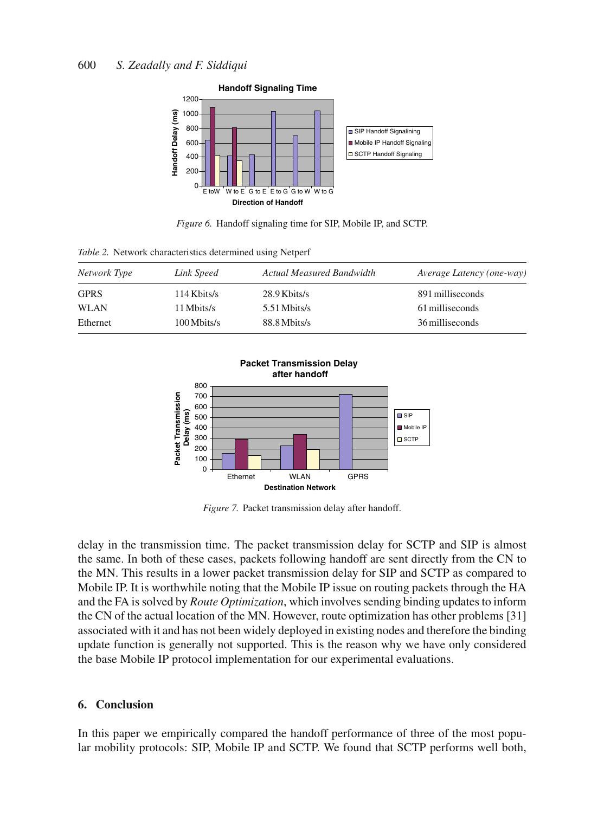# 600 *S. Zeadally and F. Siddiqui*



*Figure 6.* Handoff signaling time for SIP, Mobile IP, and SCTP.

*Table 2.* Network characteristics determined using Netperf

| Network Type | Link Speed  | Actual Measured Bandwidth | Average Latency (one-way) |
|--------------|-------------|---------------------------|---------------------------|
| <b>GPRS</b>  | 114 Kbits/s | 28.9 Kbits/s              | 891 milliseconds          |
| <b>WLAN</b>  | 11 Mbits/s  | 5.51 Mbits/s              | 61 milliseconds           |
| Ethernet     | 100 Mbits/s | 88.8 Mbits/s              | 36 milliseconds           |



*Figure 7.* Packet transmission delay after handoff.

delay in the transmission time. The packet transmission delay for SCTP and SIP is almost the same. In both of these cases, packets following handoff are sent directly from the CN to the MN. This results in a lower packet transmission delay for SIP and SCTP as compared to Mobile IP. It is worthwhile noting that the Mobile IP issue on routing packets through the HA and the FA is solved by *Route Optimization*, which involves sending binding updates to inform the CN of the actual location of the MN. However, route optimization has other problems [31] associated with it and has not been widely deployed in existing nodes and therefore the binding update function is generally not supported. This is the reason why we have only considered the base Mobile IP protocol implementation for our experimental evaluations.

#### **6. Conclusion**

In this paper we empirically compared the handoff performance of three of the most popular mobility protocols: SIP, Mobile IP and SCTP. We found that SCTP performs well both,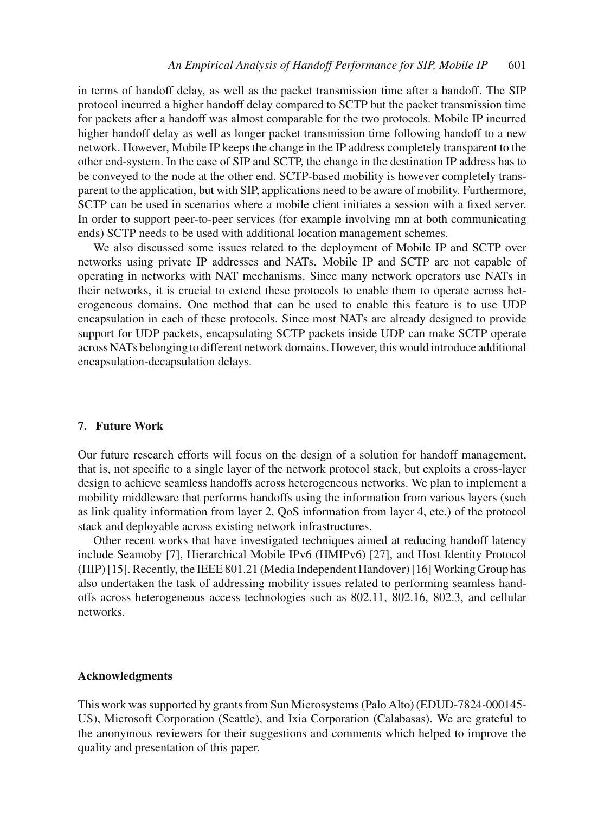in terms of handoff delay, as well as the packet transmission time after a handoff. The SIP protocol incurred a higher handoff delay compared to SCTP but the packet transmission time for packets after a handoff was almost comparable for the two protocols. Mobile IP incurred higher handoff delay as well as longer packet transmission time following handoff to a new network. However, Mobile IP keeps the change in the IP address completely transparent to the other end-system. In the case of SIP and SCTP, the change in the destination IP address has to be conveyed to the node at the other end. SCTP-based mobility is however completely transparent to the application, but with SIP, applications need to be aware of mobility. Furthermore, SCTP can be used in scenarios where a mobile client initiates a session with a fixed server. In order to support peer-to-peer services (for example involving mn at both communicating ends) SCTP needs to be used with additional location management schemes.

We also discussed some issues related to the deployment of Mobile IP and SCTP over networks using private IP addresses and NATs. Mobile IP and SCTP are not capable of operating in networks with NAT mechanisms. Since many network operators use NATs in their networks, it is crucial to extend these protocols to enable them to operate across heterogeneous domains. One method that can be used to enable this feature is to use UDP encapsulation in each of these protocols. Since most NATs are already designed to provide support for UDP packets, encapsulating SCTP packets inside UDP can make SCTP operate across NATs belonging to different network domains. However, this would introduce additional encapsulation-decapsulation delays.

### **7. Future Work**

Our future research efforts will focus on the design of a solution for handoff management, that is, not specific to a single layer of the network protocol stack, but exploits a cross-layer design to achieve seamless handoffs across heterogeneous networks. We plan to implement a mobility middleware that performs handoffs using the information from various layers (such as link quality information from layer 2, QoS information from layer 4, etc.) of the protocol stack and deployable across existing network infrastructures.

Other recent works that have investigated techniques aimed at reducing handoff latency include Seamoby [7], Hierarchical Mobile IPv6 (HMIPv6) [27], and Host Identity Protocol (HIP) [15]. Recently, the IEEE 801.21 (Media Independent Handover) [16] Working Group has also undertaken the task of addressing mobility issues related to performing seamless handoffs across heterogeneous access technologies such as 802.11, 802.16, 802.3, and cellular networks.

#### **Acknowledgments**

This work was supported by grants from Sun Microsystems (Palo Alto) (EDUD-7824-000145- US), Microsoft Corporation (Seattle), and Ixia Corporation (Calabasas). We are grateful to the anonymous reviewers for their suggestions and comments which helped to improve the quality and presentation of this paper.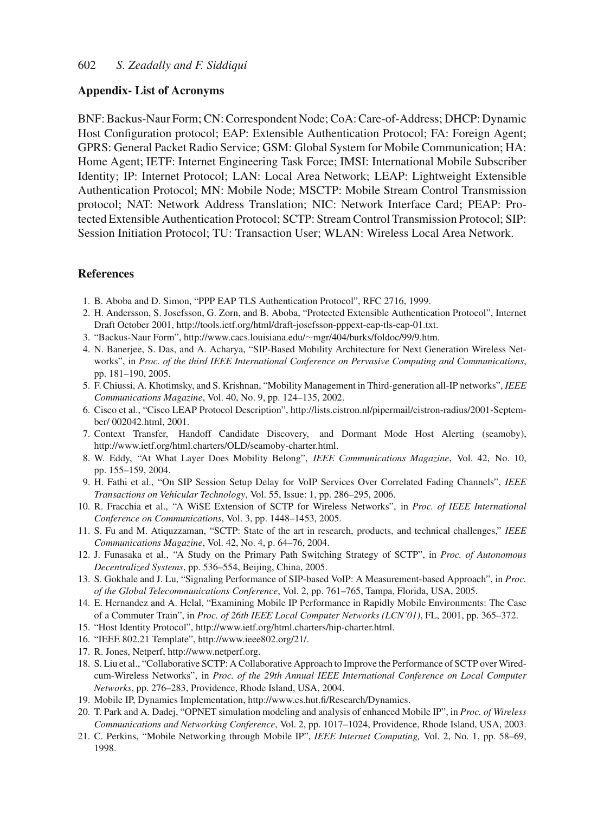#### **Appendix- List of Acronyms**

BNF: Backus-Naur Form; CN: Correspondent Node; CoA: Care-of-Address; DHCP: Dynamic Host Configuration protocol; EAP: Extensible Authentication Protocol; FA: Foreign Agent; GPRS: General Packet Radio Service; GSM: Global System for Mobile Communication; HA: Home Agent; IETF: Internet Engineering Task Force; IMSI: International Mobile Subscriber Identity; IP: Internet Protocol; LAN: Local Area Network; LEAP: Lightweight Extensible Authentication Protocol; MN: Mobile Node; MSCTP: Mobile Stream Control Transmission protocol; NAT: Network Address Translation; NIC: Network Interface Card; PEAP: Protected Extensible Authentication Protocol; SCTP: Stream Control Transmission Protocol; SIP: Session Initiation Protocol; TU: Transaction User; WLAN: Wireless Local Area Network.

#### **References**

- 1. B. Aboba and D. Simon, "PPP EAP TLS Authentication Protocol", RFC 2716, 1999.
- 2. H. Andersson, S. Josefsson, G. Zorn, and B. Aboba, "Protected Extensible Authentication Protocol", Internet Draft October 2001, http://tools.ietf.org/html/draft-josefsson-pppext-eap-tls-eap-01.txt.
- 3. "Backus-Naur Form", http://www.cacs.louisiana.edu/∼mgr/404/burks/foldoc/99/9.htm.
- 4. N. Banerjee, S. Das, and A. Acharya, "SIP-Based Mobility Architecture for Next Generation Wireless Networks", in *Proc. of the third IEEE International Conference on Pervasive Computing and Communications*, pp. 181–190, 2005.
- 5. F. Chiussi, A. Khotimsky, and S. Krishnan, "Mobility Management in Third-generation all-IP networks", *IEEE Communications Magazine*, Vol. 40, No. 9, pp. 124–135, 2002.
- 6. Cisco et al., "Cisco LEAP Protocol Description", http://lists.cistron.nl/pipermail/cistron-radius/2001-September/ 002042.html, 2001.
- 7. Context Transfer, Handoff Candidate Discovery, and Dormant Mode Host Alerting (seamoby), http://www.ietf.org/html.charters/OLD/seamoby-charter.html.
- 8. W. Eddy, "At What Layer Does Mobility Belong", *IEEE Communications Magazine*, Vol. 42, No. 10, pp. 155–159, 2004.
- 9. H. Fathi et al., "On SIP Session Setup Delay for VoIP Services Over Correlated Fading Channels", *IEEE Transactions on Vehicular Technology*, Vol. 55, Issue: 1, pp. 286–295, 2006.
- 10. R. Fracchia et al., "A WiSE Extension of SCTP for Wireless Networks", in *Proc. of IEEE International Conference on Communications*, Vol. 3, pp. 1448–1453, 2005.
- 11. S. Fu and M. Atiquzzaman, "SCTP: State of the art in research, products, and technical challenges," *IEEE Communications Magazine*, Vol. 42, No. 4, p. 64–76, 2004.
- 12. J. Funasaka et al., "A Study on the Primary Path Switching Strategy of SCTP", in *Proc. of Autonomous Decentralized Systems*, pp. 536–554, Beijing, China, 2005.
- 13. S. Gokhale and J. Lu, "Signaling Performance of SIP-based VoIP: A Measurement-based Approach", in *Proc. of the Global Telecommunications Conference*, Vol. 2, pp. 761–765, Tampa, Florida, USA, 2005.
- 14. E. Hernandez and A. Helal, "Examining Mobile IP Performance in Rapidly Mobile Environments: The Case of a Commuter Train", in *Proc. of 26th IEEE Local Computer Networks (LCN'01)*, FL, 2001, pp. 365–372.
- 15. "Host Identity Protocol", http://www.ietf.org/html.charters/hip-charter.html.
- 16. "IEEE 802.21 Template", http://www.ieee802.org/21/.
- 17. R. Jones, Netperf, http://www.netperf.org.
- 18. S. Liu et al., "Collaborative SCTP: A Collaborative Approach to Improve the Performance of SCTP over Wiredcum-Wireless Networks", in *Proc. of the 29th Annual IEEE International Conference on Local Computer Networks*, pp. 276–283, Providence, Rhode Island, USA, 2004.
- 19. Mobile IP, Dynamics Implementation, http://www.cs.hut.fi/Research/Dynamics.
- 20. T. Park and A. Dadej, "OPNET simulation modeling and analysis of enhanced Mobile IP", in *Proc. of Wireless Communications and Networking Conference*, Vol. 2, pp. 1017–1024, Providence, Rhode Island, USA, 2003.
- 21. C. Perkins, "Mobile Networking through Mobile IP", *IEEE Internet Computing,* Vol. 2, No. 1, pp. 58–69, 1998.